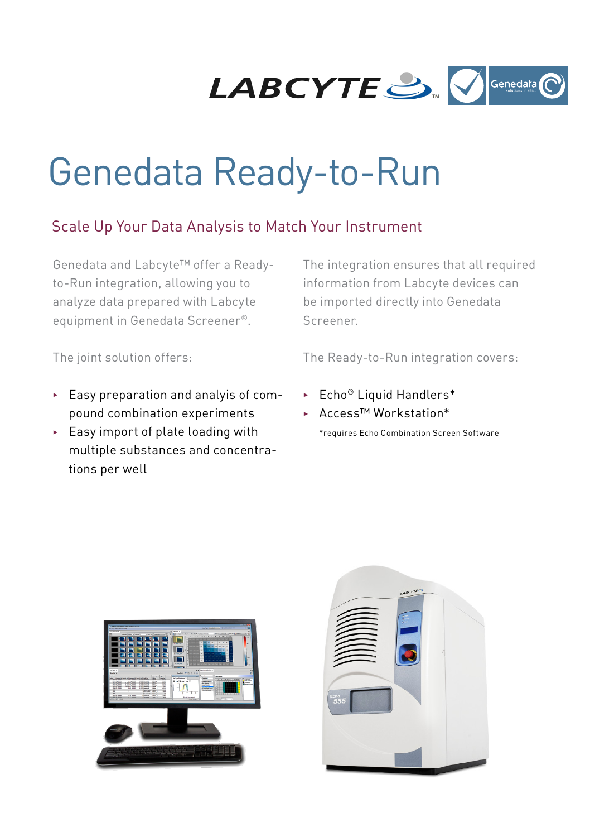

# Genedata Ready-to-Run

### Scale Up Your Data Analysis to Match Your Instrument

Genedata and Labcyte™ offer a Readyto-Run integration, allowing you to analyze data prepared with Labcyte equipment in Genedata Screener®.

The joint solution offers:

- $\blacktriangleright$  Easy preparation and analyis of compound combination experiments
- $\blacktriangleright$  Easy import of plate loading with multiple substances and concentrations per well

The integration ensures that all required information from Labcyte devices can be imported directly into Genedata Screener.

The Ready-to-Run integration covers:

- $\blacktriangleright$  Echo<sup>®</sup> Liquid Handlers\*
- ▶ Access™ Workstation\*

\*requires Echo Combination Screen Software